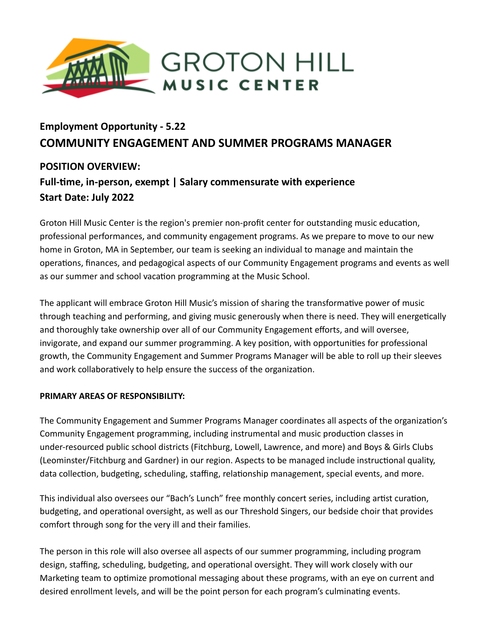

# **Employment Opportunity - 5.22 COMMUNITY ENGAGEMENT AND SUMMER PROGRAMS MANAGER**

## **POSITION OVERVIEW: Full-me, in-person, exempt | Salary commensurate with experience Start Date: July 2022**

Groton Hill Music Center is the region's premier non-profit center for outstanding music education, professional performances, and community engagement programs. As we prepare to move to our new home in Groton, MA in September, our team is seeking an individual to manage and maintain the operations, finances, and pedagogical aspects of our Community Engagement programs and events as well as our summer and school vacation programming at the Music School.

The applicant will embrace Groton Hill Music's mission of sharing the transformative power of music through teaching and performing, and giving music generously when there is need. They will energetically and thoroughly take ownership over all of our Community Engagement efforts, and will oversee, invigorate, and expand our summer programming. A key position, with opportunities for professional growth, the Community Engagement and Summer Programs Manager will be able to roll up their sleeves and work collaboratively to help ensure the success of the organization.

## **PRIMARY AREAS OF RESPONSIBILITY:**

The Community Engagement and Summer Programs Manager coordinates all aspects of the organization's Community Engagement programming, including instrumental and music production classes in under-resourced public school districts (Fitchburg, Lowell, Lawrence, and more) and Boys & Girls Clubs (Leominster/Fitchburg and Gardner) in our region. Aspects to be managed include instructional quality, data collection, budgeting, scheduling, staffing, relationship management, special events, and more.

This individual also oversees our "Bach's Lunch" free monthly concert series, including artist curation, budgeting, and operational oversight, as well as our Threshold Singers, our bedside choir that provides comfort through song for the very ill and their families.

The person in this role will also oversee all aspects of our summer programming, including program design, staffing, scheduling, budgeting, and operational oversight. They will work closely with our Marketing team to optimize promotional messaging about these programs, with an eye on current and desired enrollment levels, and will be the point person for each program's culminating events.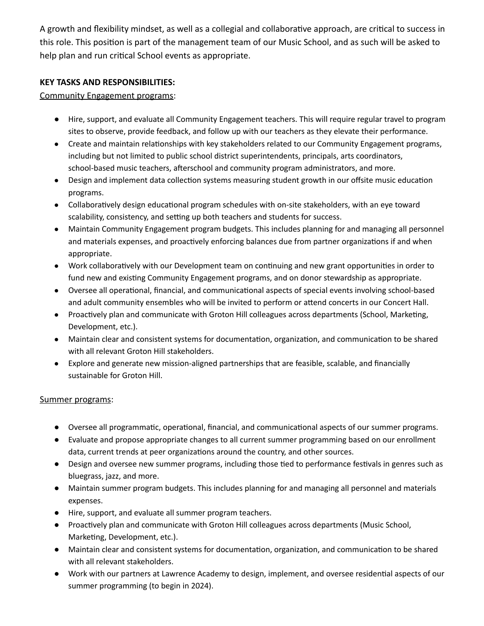A growth and flexibility mindset, as well as a collegial and collaborative approach, are critical to success in this role. This position is part of the management team of our Music School, and as such will be asked to help plan and run critical School events as appropriate.

## **KEY TASKS AND RESPONSIBILITIES:**

## Community Engagement programs:

- Hire, support, and evaluate all Community Engagement teachers. This will require regular travel to program sites to observe, provide feedback, and follow up with our teachers as they elevate their performance.
- Create and maintain relationships with key stakeholders related to our Community Engagement programs, including but not limited to public school district superintendents, principals, arts coordinators, school-based music teachers, afterschool and community program administrators, and more.
- Design and implement data collection systems measuring student growth in our offsite music education programs.
- Collaboratively design educational program schedules with on-site stakeholders, with an eye toward scalability, consistency, and setting up both teachers and students for success.
- Maintain Community Engagement program budgets. This includes planning for and managing all personnel and materials expenses, and proactively enforcing balances due from partner organizations if and when appropriate.
- Work collaboratively with our Development team on continuing and new grant opportunities in order to fund new and existing Community Engagement programs, and on donor stewardship as appropriate.
- Oversee all operational, financial, and communicational aspects of special events involving school-based and adult community ensembles who will be invited to perform or attend concerts in our Concert Hall.
- Proactively plan and communicate with Groton Hill colleagues across departments (School, Marketing, Development, etc.).
- Maintain clear and consistent systems for documentation, organization, and communication to be shared with all relevant Groton Hill stakeholders.
- Explore and generate new mission-aligned partnerships that are feasible, scalable, and financially sustainable for Groton Hill.

## Summer programs:

- Oversee all programmatic, operational, financial, and communicational aspects of our summer programs.
- Evaluate and propose appropriate changes to all current summer programming based on our enrollment data, current trends at peer organizations around the country, and other sources.
- Design and oversee new summer programs, including those tied to performance festivals in genres such as bluegrass, jazz, and more.
- Maintain summer program budgets. This includes planning for and managing all personnel and materials expenses.
- Hire, support, and evaluate all summer program teachers.
- Proactively plan and communicate with Groton Hill colleagues across departments (Music School, Marketing, Development, etc.).
- Maintain clear and consistent systems for documentation, organization, and communication to be shared with all relevant stakeholders.
- Work with our partners at Lawrence Academy to design, implement, and oversee residential aspects of our summer programming (to begin in 2024).